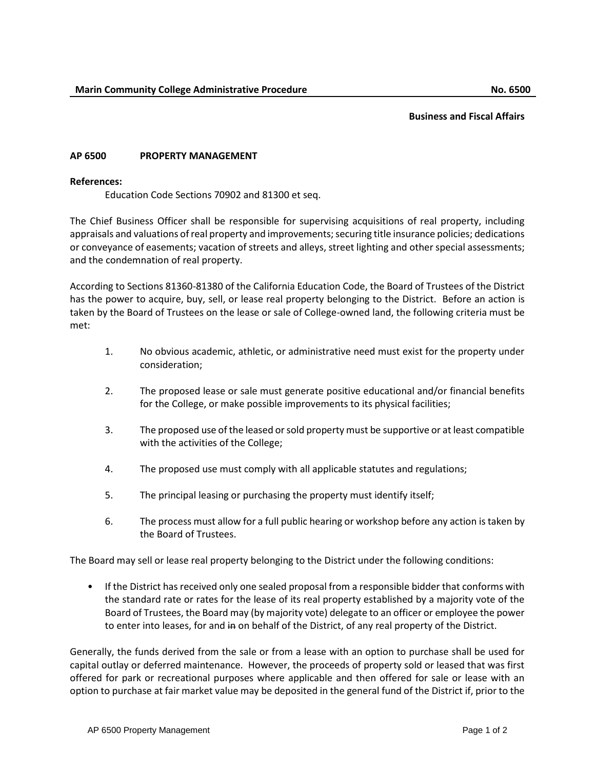## **Business and Fiscal Affairs**

## **AP 6500 PROPERTY MANAGEMENT**

## **References:**

Education Code Sections 70902 and 81300 et seq.

The Chief Business Officer shall be responsible for supervising acquisitions of real property, including appraisals and valuations of real property and improvements; securing title insurance policies; dedications or conveyance of easements; vacation of streets and alleys, street lighting and other special assessments; and the condemnation of real property.

According to Sections 81360-81380 of the California Education Code, the Board of Trustees of the District has the power to acquire, buy, sell, or lease real property belonging to the District. Before an action is taken by the Board of Trustees on the lease or sale of College-owned land, the following criteria must be met:

- 1. No obvious academic, athletic, or administrative need must exist for the property under consideration;
- 2. The proposed lease or sale must generate positive educational and/or financial benefits for the College, or make possible improvements to its physical facilities;
- 3. The proposed use of the leased or sold property must be supportive or at least compatible with the activities of the College;
- 4. The proposed use must comply with all applicable statutes and regulations;
- 5. The principal leasing or purchasing the property must identify itself;
- 6. The process must allow for a full public hearing or workshop before any action is taken by the Board of Trustees.

The Board may sell or lease real property belonging to the District under the following conditions:

• If the District has received only one sealed proposal from a responsible bidder that conforms with the standard rate or rates for the lease of its real property established by a majority vote of the Board of Trustees, the Board may (by majority vote) delegate to an officer or employee the power to enter into leases, for and in on behalf of the District, of any real property of the District.

Generally, the funds derived from the sale or from a lease with an option to purchase shall be used for capital outlay or deferred maintenance. However, the proceeds of property sold or leased that was first offered for park or recreational purposes where applicable and then offered for sale or lease with an option to purchase at fair market value may be deposited in the general fund of the District if, prior to the